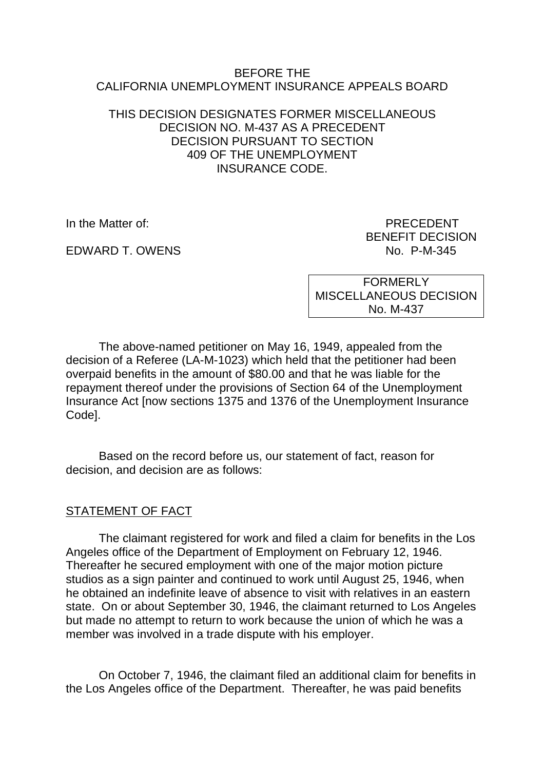### BEFORE THE CALIFORNIA UNEMPLOYMENT INSURANCE APPEALS BOARD

## THIS DECISION DESIGNATES FORMER MISCELLANEOUS DECISION NO. M-437 AS A PRECEDENT DECISION PURSUANT TO SECTION 409 OF THE UNEMPLOYMENT INSURANCE CODE.

EDWARD T. OWENS NO. P-M-345

In the Matter of: PRECEDENT BENEFIT DECISION

> **FORMERLY** MISCELLANEOUS DECISION No. M-437

The above-named petitioner on May 16, 1949, appealed from the decision of a Referee (LA-M-1023) which held that the petitioner had been overpaid benefits in the amount of \$80.00 and that he was liable for the repayment thereof under the provisions of Section 64 of the Unemployment Insurance Act [now sections 1375 and 1376 of the Unemployment Insurance Code].

Based on the record before us, our statement of fact, reason for decision, and decision are as follows:

# STATEMENT OF FACT

The claimant registered for work and filed a claim for benefits in the Los Angeles office of the Department of Employment on February 12, 1946. Thereafter he secured employment with one of the major motion picture studios as a sign painter and continued to work until August 25, 1946, when he obtained an indefinite leave of absence to visit with relatives in an eastern state. On or about September 30, 1946, the claimant returned to Los Angeles but made no attempt to return to work because the union of which he was a member was involved in a trade dispute with his employer.

On October 7, 1946, the claimant filed an additional claim for benefits in the Los Angeles office of the Department. Thereafter, he was paid benefits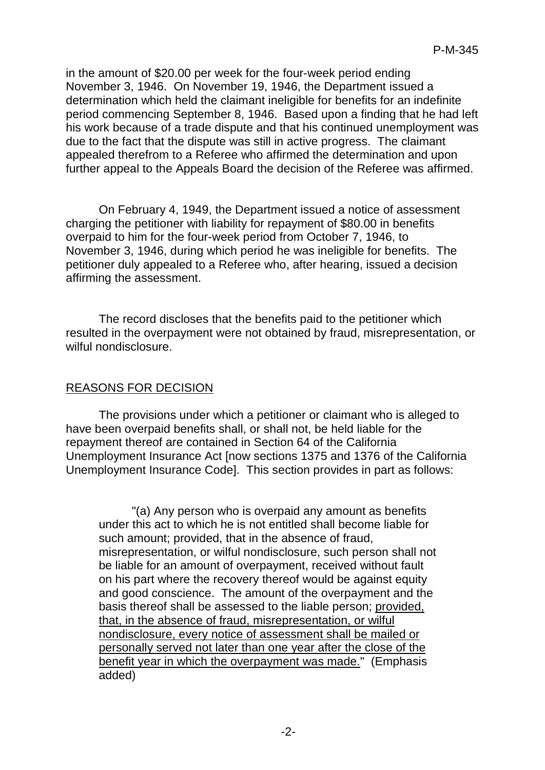in the amount of \$20.00 per week for the four-week period ending November 3, 1946. On November 19, 1946, the Department issued a determination which held the claimant ineligible for benefits for an indefinite period commencing September 8, 1946. Based upon a finding that he had left his work because of a trade dispute and that his continued unemployment was due to the fact that the dispute was still in active progress. The claimant appealed therefrom to a Referee who affirmed the determination and upon further appeal to the Appeals Board the decision of the Referee was affirmed.

On February 4, 1949, the Department issued a notice of assessment charging the petitioner with liability for repayment of \$80.00 in benefits overpaid to him for the four-week period from October 7, 1946, to November 3, 1946, during which period he was ineligible for benefits. The petitioner duly appealed to a Referee who, after hearing, issued a decision affirming the assessment.

The record discloses that the benefits paid to the petitioner which resulted in the overpayment were not obtained by fraud, misrepresentation, or wilful nondisclosure.

# REASONS FOR DECISION

The provisions under which a petitioner or claimant who is alleged to have been overpaid benefits shall, or shall not, be held liable for the repayment thereof are contained in Section 64 of the California Unemployment Insurance Act [now sections 1375 and 1376 of the California Unemployment Insurance Code]. This section provides in part as follows:

"(a) Any person who is overpaid any amount as benefits under this act to which he is not entitled shall become liable for such amount; provided, that in the absence of fraud, misrepresentation, or wilful nondisclosure, such person shall not be liable for an amount of overpayment, received without fault on his part where the recovery thereof would be against equity and good conscience. The amount of the overpayment and the basis thereof shall be assessed to the liable person; provided, that, in the absence of fraud, misrepresentation, or wilful nondisclosure, every notice of assessment shall be mailed or personally served not later than one year after the close of the benefit year in which the overpayment was made." (Emphasis added)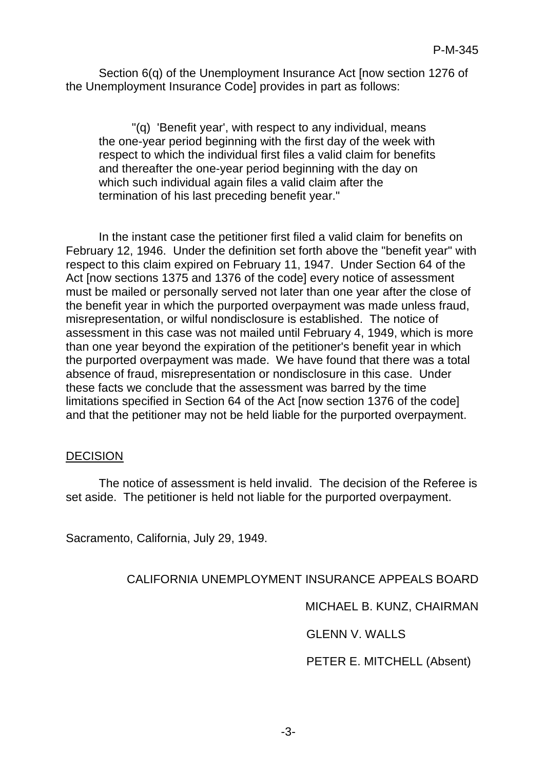Section 6(q) of the Unemployment Insurance Act [now section 1276 of the Unemployment Insurance Code] provides in part as follows:

"(q) 'Benefit year', with respect to any individual, means the one-year period beginning with the first day of the week with respect to which the individual first files a valid claim for benefits and thereafter the one-year period beginning with the day on which such individual again files a valid claim after the termination of his last preceding benefit year."

In the instant case the petitioner first filed a valid claim for benefits on February 12, 1946. Under the definition set forth above the "benefit year" with respect to this claim expired on February 11, 1947. Under Section 64 of the Act [now sections 1375 and 1376 of the code] every notice of assessment must be mailed or personally served not later than one year after the close of the benefit year in which the purported overpayment was made unless fraud, misrepresentation, or wilful nondisclosure is established. The notice of assessment in this case was not mailed until February 4, 1949, which is more than one year beyond the expiration of the petitioner's benefit year in which the purported overpayment was made. We have found that there was a total absence of fraud, misrepresentation or nondisclosure in this case. Under these facts we conclude that the assessment was barred by the time limitations specified in Section 64 of the Act [now section 1376 of the code] and that the petitioner may not be held liable for the purported overpayment.

#### DECISION

The notice of assessment is held invalid. The decision of the Referee is set aside. The petitioner is held not liable for the purported overpayment.

Sacramento, California, July 29, 1949.

# CALIFORNIA UNEMPLOYMENT INSURANCE APPEALS BOARD

MICHAEL B. KUNZ, CHAIRMAN

GLENN V. WALLS

PETER E. MITCHELL (Absent)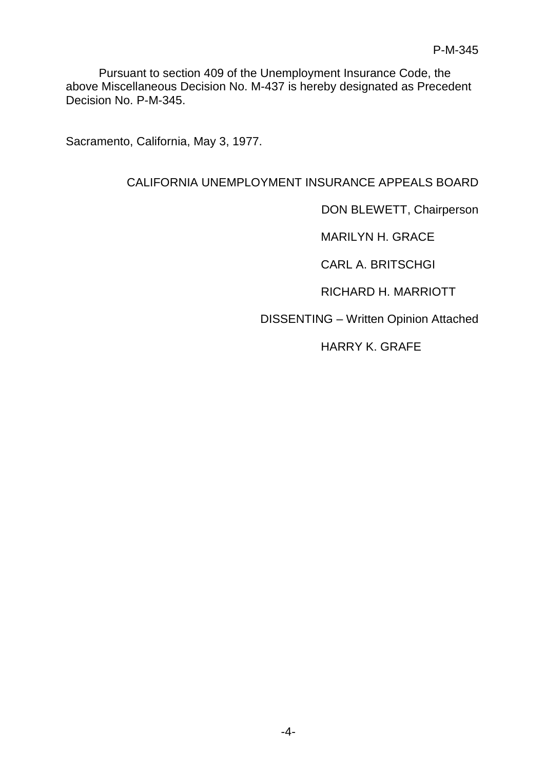Pursuant to section 409 of the Unemployment Insurance Code, the above Miscellaneous Decision No. M-437 is hereby designated as Precedent Decision No. P-M-345.

Sacramento, California, May 3, 1977.

## CALIFORNIA UNEMPLOYMENT INSURANCE APPEALS BOARD

DON BLEWETT, Chairperson

MARILYN H. GRACE

CARL A. BRITSCHGI

RICHARD H. MARRIOTT

DISSENTING – Written Opinion Attached

HARRY K. GRAFE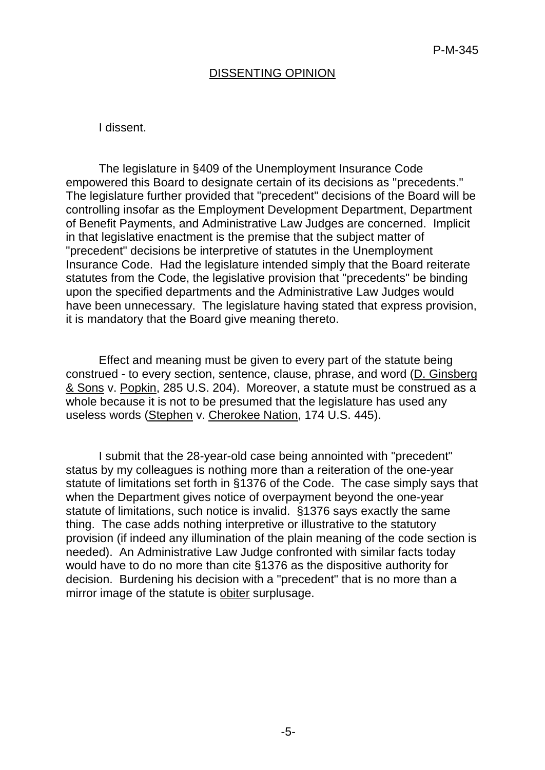### DISSENTING OPINION

#### I dissent.

The legislature in §409 of the Unemployment Insurance Code empowered this Board to designate certain of its decisions as "precedents." The legislature further provided that "precedent" decisions of the Board will be controlling insofar as the Employment Development Department, Department of Benefit Payments, and Administrative Law Judges are concerned. Implicit in that legislative enactment is the premise that the subject matter of "precedent" decisions be interpretive of statutes in the Unemployment Insurance Code. Had the legislature intended simply that the Board reiterate statutes from the Code, the legislative provision that "precedents" be binding upon the specified departments and the Administrative Law Judges would have been unnecessary. The legislature having stated that express provision, it is mandatory that the Board give meaning thereto.

Effect and meaning must be given to every part of the statute being construed - to every section, sentence, clause, phrase, and word (D. Ginsberg & Sons v. Popkin, 285 U.S. 204). Moreover, a statute must be construed as a whole because it is not to be presumed that the legislature has used any useless words (Stephen v. Cherokee Nation, 174 U.S. 445).

I submit that the 28-year-old case being annointed with "precedent" status by my colleagues is nothing more than a reiteration of the one-year statute of limitations set forth in §1376 of the Code. The case simply says that when the Department gives notice of overpayment beyond the one-year statute of limitations, such notice is invalid. §1376 says exactly the same thing. The case adds nothing interpretive or illustrative to the statutory provision (if indeed any illumination of the plain meaning of the code section is needed). An Administrative Law Judge confronted with similar facts today would have to do no more than cite §1376 as the dispositive authority for decision. Burdening his decision with a "precedent" that is no more than a mirror image of the statute is obiter surplusage.